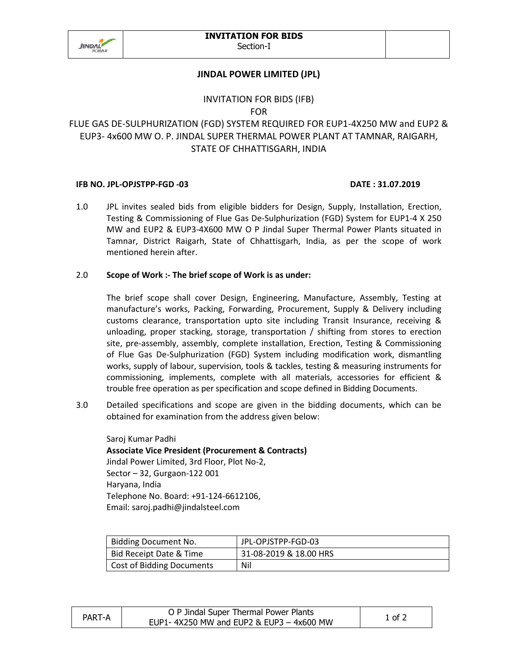

## **JINDAL POWER LIMITED (JPL)**

# INVITATION FOR BIDS (IFB)

FOR

# FLUE GAS DE-SULPHURIZATION (FGD) SYSTEM REQUIRED FOR EUP1-4X250 MW and EUP2 & EUP3- 4x600 MW O. P. JINDAL SUPER THERMAL POWER PLANT AT TAMNAR, RAIGARH, STATE OF CHHATTISGARH, INDIA

#### **IFB NO. JPL-OPJSTPP-FGD -03 DATE : 31.07.2019**

1.0 JPL invites sealed bids from eligible bidders for Design, Supply, Installation, Erection, Testing & Commissioning of Flue Gas De-Sulphurization (FGD) System for EUP1-4 X 250 MW and EUP2 & EUP3-4X600 MW O P Jindal Super Thermal Power Plants situated in Tamnar, District Raigarh, State of Chhattisgarh, India, as per the scope of work mentioned herein after.

### 2.0 **Scope of Work :- The brief scope of Work is as under:**

The brief scope shall cover Design, Engineering, Manufacture, Assembly, Testing at manufacture's works, Packing, Forwarding, Procurement, Supply & Delivery including customs clearance, transportation upto site including Transit Insurance, receiving & unloading, proper stacking, storage, transportation / shifting from stores to erection site, pre-assembly, assembly, complete installation, Erection, Testing & Commissioning of Flue Gas De-Sulphurization (FGD) System including modification work, dismantling works, supply of labour, supervision, tools & tackles, testing & measuring instruments for commissioning, implements, complete with all materials, accessories for efficient & trouble free operation as per specification and scope defined in Bidding Documents.

3.0 Detailed specifications and scope are given in the bidding documents, which can be obtained for examination from the address given below:

Saroj Kumar Padhi **Associate Vice President (Procurement & Contracts)**  Jindal Power Limited, 3rd Floor, Plot No-2, Sector – 32, Gurgaon-122 001 Haryana, India Telephone No. Board: +91-124-6612106, Email: saroj.padhi@jindalsteel.com

| Bidding Document No.      | JPL-OPJSTPP-FGD-03     |
|---------------------------|------------------------|
| Bid Receipt Date & Time   | 31-08-2019 & 18.00 HRS |
| Cost of Bidding Documents | Nil                    |

| PART-A | O P Jindal Super Thermal Power Plants      | 1 of 2 |
|--------|--------------------------------------------|--------|
|        | EUP1-4X250 MW and EUP2 & EUP3 $-$ 4x600 MW |        |